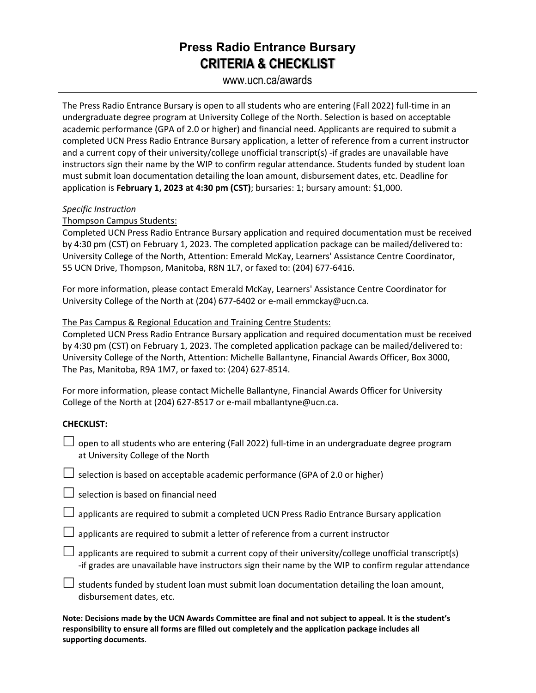## **Press Radio Entrance Bursary CRITERIA & CHECKLIST**

### www.ucn.ca/awards

The Press Radio Entrance Bursary is open to all students who are entering (Fall 2022) full-time in an undergraduate degree program at University College of the North. Selection is based on acceptable academic performance (GPA of 2.0 or higher) and financial need. Applicants are required to submit a completed UCN Press Radio Entrance Bursary application, a letter of reference from a current instructor and a current copy of their university/college unofficial transcript(s) -if grades are unavailable have instructors sign their name by the WIP to confirm regular attendance. Students funded by student loan must submit loan documentation detailing the loan amount, disbursement dates, etc. Deadline for application is **February 1, 2023 at 4:30 pm (CST)**; bursaries: 1; bursary amount: \$1,000.

#### *Specific Instruction*

#### Thompson Campus Students:

Completed UCN Press Radio Entrance Bursary application and required documentation must be received by 4:30 pm (CST) on February 1, 2023. The completed application package can be mailed/delivered to: University College of the North, Attention: Emerald McKay, Learners' Assistance Centre Coordinator, 55 UCN Drive, Thompson, Manitoba, R8N 1L7, or faxed to: (204) 677-6416.

For more information, please contact Emerald McKay, Learners' Assistance Centre Coordinator for University College of the North at (204) 677-6402 or e-mail emmckay@ucn.ca.

#### The Pas Campus & Regional Education and Training Centre Students:

Completed UCN Press Radio Entrance Bursary application and required documentation must be received by 4:30 pm (CST) on February 1, 2023. The completed application package can be mailed/delivered to: University College of the North, Attention: Michelle Ballantyne, Financial Awards Officer, Box 3000, The Pas, Manitoba, R9A 1M7, or faxed to: (204) 627-8514.

For more information, please contact Michelle Ballantyne, Financial Awards Officer for University College of the North at (204) 627-8517 or e-mail mballantyne@ucn.ca.

#### **CHECKLIST:**

 $\Box$  open to all students who are entering (Fall 2022) full-time in an undergraduate degree program at University College of the North

| $\Box$ selection is based on acceptable academic performance (GPA of 2.0 or higher) |  |
|-------------------------------------------------------------------------------------|--|
|-------------------------------------------------------------------------------------|--|

 $\Box$  selection is based on financial need

 $\Box$  applicants are required to submit a completed UCN Press Radio Entrance Bursary application

- $\Box$  applicants are required to submit a letter of reference from a current instructor
- $\Box$  applicants are required to submit a current copy of their university/college unofficial transcript(s) -if grades are unavailable have instructors sign their name by the WIP to confirm regular attendance
- $\Box$  students funded by student loan must submit loan documentation detailing the loan amount, disbursement dates, etc.

**Note: Decisions made by the UCN Awards Committee are final and not subject to appeal. It is the student's responsibility to ensure all forms are filled out completely and the application package includes all supporting documents**.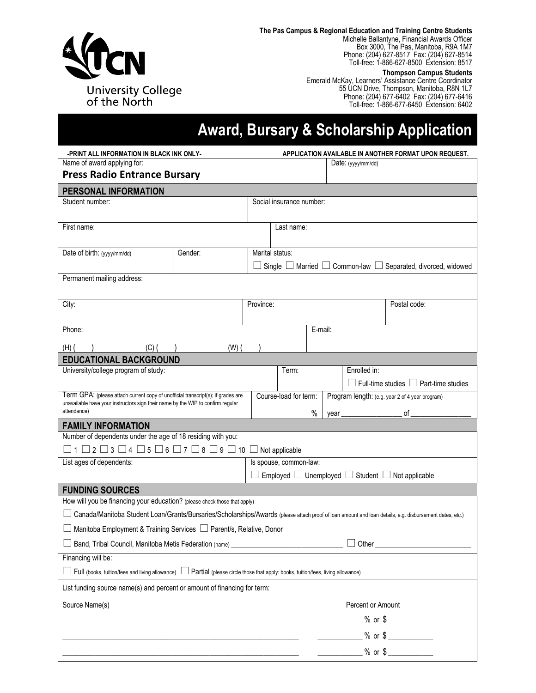

**The Pas Campus & Regional Education and Training Centre Students** Michelle Ballantyne, Financial Awards Officer Box 3000, The Pas, Manitoba, R9A 1M7 Phone: (204) 627-8517 Fax: (204) 627-8514 Toll-free: 1-866-627-8500 Extension: 8517

#### **Thompson Campus Students**

Emerald McKay, Learners' Assistance Centre Coordinator 55 UCN Drive, Thompson, Manitoba, R8N 1L7 Phone: (204) 677-6402 Fax: (204) 677-6416 Toll-free: 1-866-677-6450 Extension: 6402

# **Award, Bursary & Scholarship Application**

| Name of award applying for:<br>Date: $(yyy/mm/dd)$<br><b>Press Radio Entrance Bursary</b><br>PERSONAL INFORMATION<br>Social insurance number:<br>Student number:<br>First name:<br>Last name:<br>Date of birth: (yyyy/mm/dd)<br>Gender:<br>Marital status:<br>Single $\Box$ Married $\Box$ Common-law $\Box$ Separated, divorced, widowed<br>Permanent mailing address:<br>City:<br>Province:<br>Postal code:<br>Phone:<br>E-mail:<br>$(H)$ (<br>$(C)$ (<br>$(W)$ $($<br><b>EDUCATIONAL BACKGROUND</b><br>University/college program of study:<br>Term:<br>Enrolled in:<br>$\Box$ Full-time studies $\Box$ Part-time studies<br>Term GPA: (please attach current copy of unofficial transcript(s); if grades are<br>Course-load for term:<br>Program length: (e.g. year 2 of 4 year program)<br>unavailable have your instructors sign their name by the WIP to confirm regular<br>attendance)<br>$_{\circ}$ of $_{\rm -}$<br>%<br>year<br><b>FAMILY INFORMATION</b><br>Number of dependents under the age of 18 residing with you:<br>$\Box$ 1 $\Box$ 2 $\Box$ 3 $\Box$ 4 $\Box$ 5 $\Box$ 6 $\Box$ 7 $\Box$ 8 $\Box$ 9 $\Box$ 10 $\Box$ Not applicable<br>List ages of dependents:<br>Is spouse, common-law:<br>Employed $\Box$ Unemployed $\Box$ Student $\Box$ Not applicable<br><b>FUNDING SOURCES</b><br>How will you be financing your education? (please check those that apply)<br>□ Canada/Manitoba Student Loan/Grants/Bursaries/Scholarships/Awards (please attach proof of loan amount and loan details, e.g. disbursement dates, etc.)<br>□ Manitoba Employment & Training Services □ Parent/s, Relative, Donor<br>□ Band, Tribal Council, Manitoba Metis Federation (name) _____<br>$\Box$ Other $\_$<br>Financing will be:<br>□ Full (books, tuition/fees and living allowance) □ Partial (please circle those that apply: books, tuition/fees, living allowance)<br>List funding source name(s) and percent or amount of financing for term:<br>Source Name(s)<br>Percent or Amount<br><u>we set that the set of the set of the set of the set of the set of the set of the set of the set of the set of the set of the set of the set of the set of the set of the set of the set of the set of the set of the set of </u><br>$\frac{1}{200}$ % or \$<br>$%$ or $\frac{6}{100}$ |  | -PRINT ALL INFORMATION IN BLACK INK ONLY-<br>APPLICATION AVAILABLE IN ANOTHER FORMAT UPON REQUEST. |  |  |  |  |  |  |  |
|--------------------------------------------------------------------------------------------------------------------------------------------------------------------------------------------------------------------------------------------------------------------------------------------------------------------------------------------------------------------------------------------------------------------------------------------------------------------------------------------------------------------------------------------------------------------------------------------------------------------------------------------------------------------------------------------------------------------------------------------------------------------------------------------------------------------------------------------------------------------------------------------------------------------------------------------------------------------------------------------------------------------------------------------------------------------------------------------------------------------------------------------------------------------------------------------------------------------------------------------------------------------------------------------------------------------------------------------------------------------------------------------------------------------------------------------------------------------------------------------------------------------------------------------------------------------------------------------------------------------------------------------------------------------------------------------------------------------------------------------------------------------------------------------------------------------------------------------------------------------------------------------------------------------------------------------------------------------------------------------------------------------------------------------------------------------------------------------------------------------------------------------------------------------------------------------------------------------------------------------------------------------------------------------------|--|----------------------------------------------------------------------------------------------------|--|--|--|--|--|--|--|
|                                                                                                                                                                                                                                                                                                                                                                                                                                                                                                                                                                                                                                                                                                                                                                                                                                                                                                                                                                                                                                                                                                                                                                                                                                                                                                                                                                                                                                                                                                                                                                                                                                                                                                                                                                                                                                                                                                                                                                                                                                                                                                                                                                                                                                                                                                  |  |                                                                                                    |  |  |  |  |  |  |  |
|                                                                                                                                                                                                                                                                                                                                                                                                                                                                                                                                                                                                                                                                                                                                                                                                                                                                                                                                                                                                                                                                                                                                                                                                                                                                                                                                                                                                                                                                                                                                                                                                                                                                                                                                                                                                                                                                                                                                                                                                                                                                                                                                                                                                                                                                                                  |  |                                                                                                    |  |  |  |  |  |  |  |
|                                                                                                                                                                                                                                                                                                                                                                                                                                                                                                                                                                                                                                                                                                                                                                                                                                                                                                                                                                                                                                                                                                                                                                                                                                                                                                                                                                                                                                                                                                                                                                                                                                                                                                                                                                                                                                                                                                                                                                                                                                                                                                                                                                                                                                                                                                  |  |                                                                                                    |  |  |  |  |  |  |  |
|                                                                                                                                                                                                                                                                                                                                                                                                                                                                                                                                                                                                                                                                                                                                                                                                                                                                                                                                                                                                                                                                                                                                                                                                                                                                                                                                                                                                                                                                                                                                                                                                                                                                                                                                                                                                                                                                                                                                                                                                                                                                                                                                                                                                                                                                                                  |  |                                                                                                    |  |  |  |  |  |  |  |
|                                                                                                                                                                                                                                                                                                                                                                                                                                                                                                                                                                                                                                                                                                                                                                                                                                                                                                                                                                                                                                                                                                                                                                                                                                                                                                                                                                                                                                                                                                                                                                                                                                                                                                                                                                                                                                                                                                                                                                                                                                                                                                                                                                                                                                                                                                  |  |                                                                                                    |  |  |  |  |  |  |  |
|                                                                                                                                                                                                                                                                                                                                                                                                                                                                                                                                                                                                                                                                                                                                                                                                                                                                                                                                                                                                                                                                                                                                                                                                                                                                                                                                                                                                                                                                                                                                                                                                                                                                                                                                                                                                                                                                                                                                                                                                                                                                                                                                                                                                                                                                                                  |  |                                                                                                    |  |  |  |  |  |  |  |
|                                                                                                                                                                                                                                                                                                                                                                                                                                                                                                                                                                                                                                                                                                                                                                                                                                                                                                                                                                                                                                                                                                                                                                                                                                                                                                                                                                                                                                                                                                                                                                                                                                                                                                                                                                                                                                                                                                                                                                                                                                                                                                                                                                                                                                                                                                  |  |                                                                                                    |  |  |  |  |  |  |  |
|                                                                                                                                                                                                                                                                                                                                                                                                                                                                                                                                                                                                                                                                                                                                                                                                                                                                                                                                                                                                                                                                                                                                                                                                                                                                                                                                                                                                                                                                                                                                                                                                                                                                                                                                                                                                                                                                                                                                                                                                                                                                                                                                                                                                                                                                                                  |  |                                                                                                    |  |  |  |  |  |  |  |
|                                                                                                                                                                                                                                                                                                                                                                                                                                                                                                                                                                                                                                                                                                                                                                                                                                                                                                                                                                                                                                                                                                                                                                                                                                                                                                                                                                                                                                                                                                                                                                                                                                                                                                                                                                                                                                                                                                                                                                                                                                                                                                                                                                                                                                                                                                  |  |                                                                                                    |  |  |  |  |  |  |  |
|                                                                                                                                                                                                                                                                                                                                                                                                                                                                                                                                                                                                                                                                                                                                                                                                                                                                                                                                                                                                                                                                                                                                                                                                                                                                                                                                                                                                                                                                                                                                                                                                                                                                                                                                                                                                                                                                                                                                                                                                                                                                                                                                                                                                                                                                                                  |  |                                                                                                    |  |  |  |  |  |  |  |
|                                                                                                                                                                                                                                                                                                                                                                                                                                                                                                                                                                                                                                                                                                                                                                                                                                                                                                                                                                                                                                                                                                                                                                                                                                                                                                                                                                                                                                                                                                                                                                                                                                                                                                                                                                                                                                                                                                                                                                                                                                                                                                                                                                                                                                                                                                  |  |                                                                                                    |  |  |  |  |  |  |  |
|                                                                                                                                                                                                                                                                                                                                                                                                                                                                                                                                                                                                                                                                                                                                                                                                                                                                                                                                                                                                                                                                                                                                                                                                                                                                                                                                                                                                                                                                                                                                                                                                                                                                                                                                                                                                                                                                                                                                                                                                                                                                                                                                                                                                                                                                                                  |  |                                                                                                    |  |  |  |  |  |  |  |
|                                                                                                                                                                                                                                                                                                                                                                                                                                                                                                                                                                                                                                                                                                                                                                                                                                                                                                                                                                                                                                                                                                                                                                                                                                                                                                                                                                                                                                                                                                                                                                                                                                                                                                                                                                                                                                                                                                                                                                                                                                                                                                                                                                                                                                                                                                  |  |                                                                                                    |  |  |  |  |  |  |  |
|                                                                                                                                                                                                                                                                                                                                                                                                                                                                                                                                                                                                                                                                                                                                                                                                                                                                                                                                                                                                                                                                                                                                                                                                                                                                                                                                                                                                                                                                                                                                                                                                                                                                                                                                                                                                                                                                                                                                                                                                                                                                                                                                                                                                                                                                                                  |  |                                                                                                    |  |  |  |  |  |  |  |
|                                                                                                                                                                                                                                                                                                                                                                                                                                                                                                                                                                                                                                                                                                                                                                                                                                                                                                                                                                                                                                                                                                                                                                                                                                                                                                                                                                                                                                                                                                                                                                                                                                                                                                                                                                                                                                                                                                                                                                                                                                                                                                                                                                                                                                                                                                  |  |                                                                                                    |  |  |  |  |  |  |  |
|                                                                                                                                                                                                                                                                                                                                                                                                                                                                                                                                                                                                                                                                                                                                                                                                                                                                                                                                                                                                                                                                                                                                                                                                                                                                                                                                                                                                                                                                                                                                                                                                                                                                                                                                                                                                                                                                                                                                                                                                                                                                                                                                                                                                                                                                                                  |  |                                                                                                    |  |  |  |  |  |  |  |
|                                                                                                                                                                                                                                                                                                                                                                                                                                                                                                                                                                                                                                                                                                                                                                                                                                                                                                                                                                                                                                                                                                                                                                                                                                                                                                                                                                                                                                                                                                                                                                                                                                                                                                                                                                                                                                                                                                                                                                                                                                                                                                                                                                                                                                                                                                  |  |                                                                                                    |  |  |  |  |  |  |  |
|                                                                                                                                                                                                                                                                                                                                                                                                                                                                                                                                                                                                                                                                                                                                                                                                                                                                                                                                                                                                                                                                                                                                                                                                                                                                                                                                                                                                                                                                                                                                                                                                                                                                                                                                                                                                                                                                                                                                                                                                                                                                                                                                                                                                                                                                                                  |  |                                                                                                    |  |  |  |  |  |  |  |
|                                                                                                                                                                                                                                                                                                                                                                                                                                                                                                                                                                                                                                                                                                                                                                                                                                                                                                                                                                                                                                                                                                                                                                                                                                                                                                                                                                                                                                                                                                                                                                                                                                                                                                                                                                                                                                                                                                                                                                                                                                                                                                                                                                                                                                                                                                  |  |                                                                                                    |  |  |  |  |  |  |  |
|                                                                                                                                                                                                                                                                                                                                                                                                                                                                                                                                                                                                                                                                                                                                                                                                                                                                                                                                                                                                                                                                                                                                                                                                                                                                                                                                                                                                                                                                                                                                                                                                                                                                                                                                                                                                                                                                                                                                                                                                                                                                                                                                                                                                                                                                                                  |  |                                                                                                    |  |  |  |  |  |  |  |
|                                                                                                                                                                                                                                                                                                                                                                                                                                                                                                                                                                                                                                                                                                                                                                                                                                                                                                                                                                                                                                                                                                                                                                                                                                                                                                                                                                                                                                                                                                                                                                                                                                                                                                                                                                                                                                                                                                                                                                                                                                                                                                                                                                                                                                                                                                  |  |                                                                                                    |  |  |  |  |  |  |  |
|                                                                                                                                                                                                                                                                                                                                                                                                                                                                                                                                                                                                                                                                                                                                                                                                                                                                                                                                                                                                                                                                                                                                                                                                                                                                                                                                                                                                                                                                                                                                                                                                                                                                                                                                                                                                                                                                                                                                                                                                                                                                                                                                                                                                                                                                                                  |  |                                                                                                    |  |  |  |  |  |  |  |
|                                                                                                                                                                                                                                                                                                                                                                                                                                                                                                                                                                                                                                                                                                                                                                                                                                                                                                                                                                                                                                                                                                                                                                                                                                                                                                                                                                                                                                                                                                                                                                                                                                                                                                                                                                                                                                                                                                                                                                                                                                                                                                                                                                                                                                                                                                  |  |                                                                                                    |  |  |  |  |  |  |  |
|                                                                                                                                                                                                                                                                                                                                                                                                                                                                                                                                                                                                                                                                                                                                                                                                                                                                                                                                                                                                                                                                                                                                                                                                                                                                                                                                                                                                                                                                                                                                                                                                                                                                                                                                                                                                                                                                                                                                                                                                                                                                                                                                                                                                                                                                                                  |  |                                                                                                    |  |  |  |  |  |  |  |
|                                                                                                                                                                                                                                                                                                                                                                                                                                                                                                                                                                                                                                                                                                                                                                                                                                                                                                                                                                                                                                                                                                                                                                                                                                                                                                                                                                                                                                                                                                                                                                                                                                                                                                                                                                                                                                                                                                                                                                                                                                                                                                                                                                                                                                                                                                  |  |                                                                                                    |  |  |  |  |  |  |  |
|                                                                                                                                                                                                                                                                                                                                                                                                                                                                                                                                                                                                                                                                                                                                                                                                                                                                                                                                                                                                                                                                                                                                                                                                                                                                                                                                                                                                                                                                                                                                                                                                                                                                                                                                                                                                                                                                                                                                                                                                                                                                                                                                                                                                                                                                                                  |  |                                                                                                    |  |  |  |  |  |  |  |
|                                                                                                                                                                                                                                                                                                                                                                                                                                                                                                                                                                                                                                                                                                                                                                                                                                                                                                                                                                                                                                                                                                                                                                                                                                                                                                                                                                                                                                                                                                                                                                                                                                                                                                                                                                                                                                                                                                                                                                                                                                                                                                                                                                                                                                                                                                  |  |                                                                                                    |  |  |  |  |  |  |  |
|                                                                                                                                                                                                                                                                                                                                                                                                                                                                                                                                                                                                                                                                                                                                                                                                                                                                                                                                                                                                                                                                                                                                                                                                                                                                                                                                                                                                                                                                                                                                                                                                                                                                                                                                                                                                                                                                                                                                                                                                                                                                                                                                                                                                                                                                                                  |  |                                                                                                    |  |  |  |  |  |  |  |
|                                                                                                                                                                                                                                                                                                                                                                                                                                                                                                                                                                                                                                                                                                                                                                                                                                                                                                                                                                                                                                                                                                                                                                                                                                                                                                                                                                                                                                                                                                                                                                                                                                                                                                                                                                                                                                                                                                                                                                                                                                                                                                                                                                                                                                                                                                  |  |                                                                                                    |  |  |  |  |  |  |  |
|                                                                                                                                                                                                                                                                                                                                                                                                                                                                                                                                                                                                                                                                                                                                                                                                                                                                                                                                                                                                                                                                                                                                                                                                                                                                                                                                                                                                                                                                                                                                                                                                                                                                                                                                                                                                                                                                                                                                                                                                                                                                                                                                                                                                                                                                                                  |  |                                                                                                    |  |  |  |  |  |  |  |
|                                                                                                                                                                                                                                                                                                                                                                                                                                                                                                                                                                                                                                                                                                                                                                                                                                                                                                                                                                                                                                                                                                                                                                                                                                                                                                                                                                                                                                                                                                                                                                                                                                                                                                                                                                                                                                                                                                                                                                                                                                                                                                                                                                                                                                                                                                  |  |                                                                                                    |  |  |  |  |  |  |  |
|                                                                                                                                                                                                                                                                                                                                                                                                                                                                                                                                                                                                                                                                                                                                                                                                                                                                                                                                                                                                                                                                                                                                                                                                                                                                                                                                                                                                                                                                                                                                                                                                                                                                                                                                                                                                                                                                                                                                                                                                                                                                                                                                                                                                                                                                                                  |  |                                                                                                    |  |  |  |  |  |  |  |
|                                                                                                                                                                                                                                                                                                                                                                                                                                                                                                                                                                                                                                                                                                                                                                                                                                                                                                                                                                                                                                                                                                                                                                                                                                                                                                                                                                                                                                                                                                                                                                                                                                                                                                                                                                                                                                                                                                                                                                                                                                                                                                                                                                                                                                                                                                  |  |                                                                                                    |  |  |  |  |  |  |  |
|                                                                                                                                                                                                                                                                                                                                                                                                                                                                                                                                                                                                                                                                                                                                                                                                                                                                                                                                                                                                                                                                                                                                                                                                                                                                                                                                                                                                                                                                                                                                                                                                                                                                                                                                                                                                                                                                                                                                                                                                                                                                                                                                                                                                                                                                                                  |  |                                                                                                    |  |  |  |  |  |  |  |